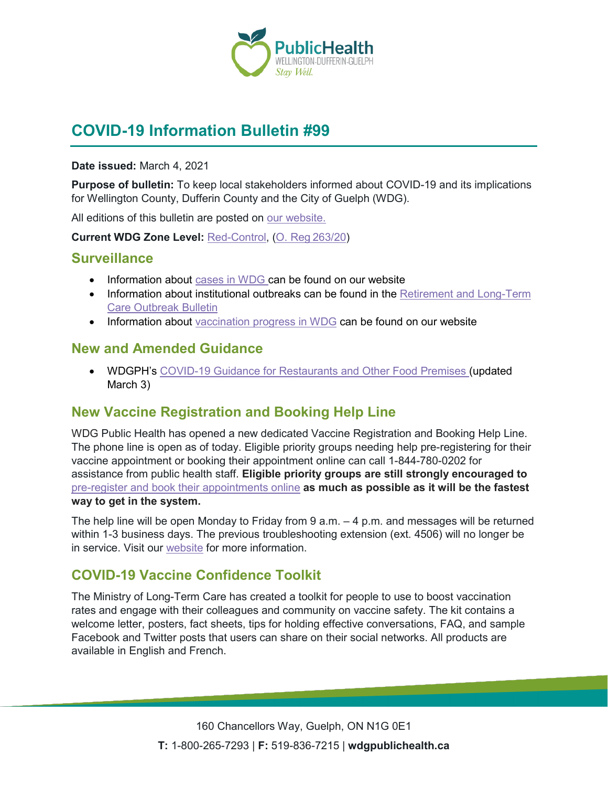

# **COVID-19 Information Bulletin #99**

#### **Date issued:** March 4, 2021

**Purpose of bulletin:** To keep local stakeholders informed about COVID-19 and its implications for Wellington County, Dufferin County and the City of Guelph (WDG).

All editions of this bulletin are posted on [our website.](https://www.wdgpublichealth.ca/your-health/covid-19-information-workplaces-and-living-spaces/community-stakeholder-bulletins)

**Current WDG Zone Level:** [Red-Control,](https://www.ontario.ca/page/covid-19-response-framework-keeping-ontario-safe-and-open#control) ([O. Reg 263/20](https://www.ontario.ca/laws/regulation/200263))

### **Surveillance**

- Information about [cases in WDG](https://wdgpublichealth.ca/your-health/covid-19-information-public/status-cases-wdg) can be found on our website
- Information about institutional outbreaks can be found in the Retirement and Long-Term [Care Outbreak Bulletin](https://wdgpublichealth.ca/node/1542)
- Information about [vaccination progress](https://www.wdgpublichealth.ca/your-health/covid-19-information-public/covid-19-vaccine-information-public) in WDG can be found on our website

### **New and Amended Guidance**

• WDGPH's [COVID-19 Guidance for Restaurants and](https://www.wdgpublichealth.ca/sites/default/files/covid-19_guidance_restaurants_and_other_food_premises_-_red_zone_mar_3_2021.pdf) Other Food Premi[s](https://www.wdgpublichealth.ca/sites/default/files/covid-19_guidance_restaurants_and_other_food_premises_-_red_zone_feb_22_2021_final.pdf)es (updated March 3)

### **New Vaccine Registration and Booking Help Line**

WDG Public Health has opened a new dedicated Vaccine Registration and Booking Help Line. The phone line is open as of today. Eligible priority groups needing help pre-registering for their vaccine appointment or booking their appointment online can call 1-844-780-0202 for assistance from public health staff. **Eligible priority groups are still strongly encouraged to**  [pre-register and book their appointments online](https://wdgpublichealth.ca/your-health/covid-19-information-public/covid-19-vaccine-information/pre-register-your-covid-19) **as much as possible as it will be the fastest way to get in the system.**

The help line will be open Monday to Friday from 9 a.m. – 4 p.m. and messages will be returned within 1-3 business days. The previous troubleshooting extension (ext. 4506) will no longer be in service. Visit our [website](https://wdgpublichealth.ca/news/public-health-opens-new-vaccine-registration-and-booking-help-line) for more information.

### **COVID-19 Vaccine Confidence Toolkit**

The Ministry of Long-Term Care has created a toolkit for people to use to boost vaccination rates and engage with their colleagues and community on vaccine safety. The kit contains a welcome letter, posters, fact sheets, tips for holding effective conversations, FAQ, and sample Facebook and Twitter posts that users can share on their social networks. All products are available in English and French.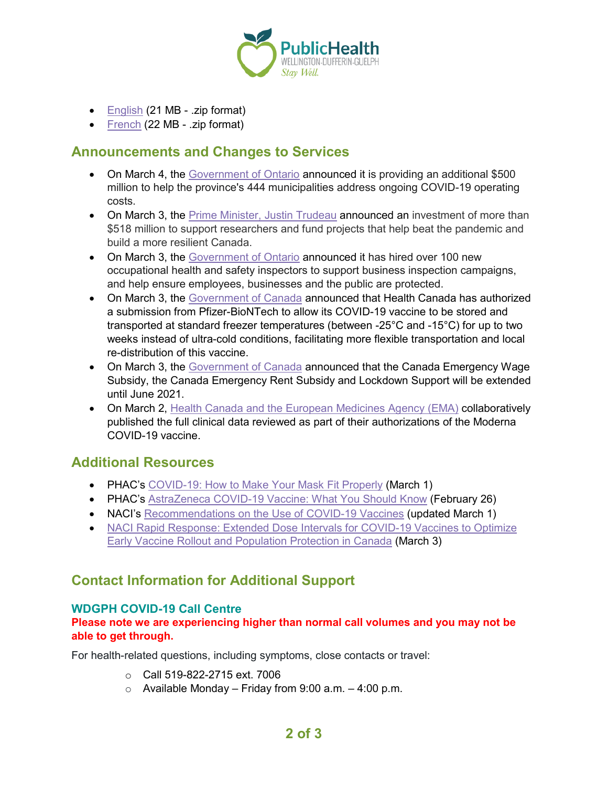

- [English](http://www.health.gov.on.ca/en/pro/programs/ltc/docs/covid-19/toolkit/MLTC-COVID19-Toolkit-EN.zip?utm_source=publishermltc&utm_medium=display&utm_campaign=covid-vaccine-toolkit-english&utm_content=toolkit-text) (21 MB .zip format)
- [French](http://www.health.gov.on.ca/en/pro/programs/ltc/docs/covid-19/toolkit/MLTC-COVID19-Toolkit-FR.zip?utm_source=publishermltc&utm_medium=display&utm_campaign=covid-vaccine-toolkit-french&utm_content=toolkit-text) (22 MB .zip format)

### **Announcements and Changes to Services**

- On March 4, the [Government of Ontario](https://news.ontario.ca/en/release/60538/ontario-provides-additional-support-for-municipalities-during-covid-19) announced it is providing an additional \$500 million to help the province's 444 municipalities address ongoing COVID-19 operating costs.
- On March 3, the [Prime Minister, Justin Trudeau](https://pm.gc.ca/en/news/news-releases/2021/03/03/new-investments-support-research-and-science-across-canada) announced an investment of more than \$518 million to support researchers and fund projects that help beat the pandemic and build a more resilient Canada.
- On March 3, the [Government of Ontario](https://news.ontario.ca/en/release/60530/ontario-hires-100-additional-health-and-safety-inspectors) announced it has hired over 100 new occupational health and safety inspectors to support business inspection campaigns, and help ensure employees, businesses and the public are protected.
- On March 3, the [Government of Canada](https://www.canada.ca/en/health-canada/news/2021/03/health-canada-allows-more-flexible-storage-and-transportation-conditions-for-pfizer-biontech-covid-19-vaccine0.html) announced that Health Canada has authorized a submission from Pfizer-BioNTech to allow its COVID-19 vaccine to be stored and transported at standard freezer temperatures (between -25°C and -15°C) for up to two weeks instead of ultra-cold conditions, facilitating more flexible transportation and local re-distribution of this vaccine.
- On March 3, the [Government of Canada](https://www.canada.ca/en/department-finance/news/2021/03/government-announces-wage-and-rent-subsidy-amounts-to-remain-unchanged-through-to-june.html) announced that the Canada Emergency Wage Subsidy, the Canada Emergency Rent Subsidy and Lockdown Support will be extended until June 2021.
- On March 2, [Health Canada and the European Medicines Agency \(EMA\)](https://www.canada.ca/en/health-canada/news/2021/03/health-canada-and-the-european-medicines-agency-publish-clinical-data-used-to-support-their-authorizations-of-the-moderna-covid-19-vaccine.html) collaboratively published the full clinical data reviewed as part of their authorizations of the Moderna COVID-19 vaccine.

### **Additional Resources**

- PHAC's [COVID-19: How to Make Your Mask Fit Properly](https://www.canada.ca/en/public-health/services/publications/diseases-conditions/covid-19-mask-fit-properly.html) (March 1)
- PHAC's [AstraZeneca COVID-19 Vaccine: What You Should Know](https://www.canada.ca/en/health-canada/services/drugs-health-products/covid19-industry/drugs-vaccines-treatments/vaccines/astrazeneca.html) (February 26)
- NACI's [Recommendations on the Use of COVID-19 Vaccines](https://www.canada.ca/en/public-health/services/immunization/national-advisory-committee-on-immunization-naci/recommendations-use-covid-19-vaccines.html) (updated March 1)
- NACI Rapid Response: Extended Dose Intervals for COVID-19 Vaccines to Optimize [Early Vaccine Rollout and Population Protection in Canada](https://www.canada.ca/en/public-health/services/immunization/national-advisory-committee-on-immunization-naci/rapid-response-extended-dose-intervals-covid-19-vaccines-early-rollout-population-protection.html) (March 3)

## **Contact Information for Additional Support**

#### **WDGPH COVID-19 Call Centre**

#### **Please note we are experiencing higher than normal call volumes and you may not be able to get through.**

For health-related questions, including symptoms, close contacts or travel:

- o Call 519-822-2715 ext. 7006
- $\circ$  Available Monday Friday from 9:00 a.m. 4:00 p.m.